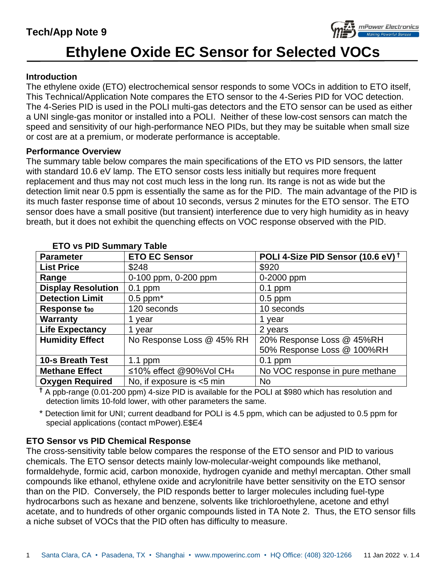## **Tech/App Note 9**



# **Ethylene Oxide EC Sensor for Selected VOCs**

#### **Introduction**

The ethylene oxide (ETO) electrochemical sensor responds to some VOCs in addition to ETO itself, This Technical/Application Note compares the ETO sensor to the 4-Series PID for VOC detection. The 4-Series PID is used in the POLI multi-gas detectors and the ETO sensor can be used as either a UNI single-gas monitor or installed into a POLI. Neither of these low-cost sensors can match the speed and sensitivity of our high-performance NEO PIDs, but they may be suitable when small size or cost are at a premium, or moderate performance is acceptable.

#### **Performance Overview**

The summary table below compares the main specifications of the ETO vs PID sensors, the latter with standard 10.6 eV lamp. The ETO sensor costs less initially but requires more frequent replacement and thus may not cost much less in the long run. Its range is not as wide but the detection limit near 0.5 ppm is essentially the same as for the PID. The main advantage of the PID is its much faster response time of about 10 seconds, versus 2 minutes for the ETO sensor. The ETO sensor does have a small positive (but transient) interference due to very high humidity as in heavy breath, but it does not exhibit the quenching effects on VOC response observed with the PID.

| $\mathsf{L}$ , $\mathsf{V}$ , $\mathsf{V}$ , $\mathsf{V}$ , $\mathsf{V}$ , $\mathsf{V}$ , $\mathsf{V}$ , $\mathsf{V}$ , $\mathsf{V}$ , $\mathsf{V}$ |                                     |                                               |  |  |  |
|-----------------------------------------------------------------------------------------------------------------------------------------------------|-------------------------------------|-----------------------------------------------|--|--|--|
| <b>Parameter</b>                                                                                                                                    | <b>ETO EC Sensor</b>                | POLI 4-Size PID Sensor (10.6 eV) <sup>+</sup> |  |  |  |
| <b>List Price</b>                                                                                                                                   | \$248                               | \$920                                         |  |  |  |
| Range                                                                                                                                               | 0-100 ppm, 0-200 ppm                | 0-2000 ppm                                    |  |  |  |
| <b>Display Resolution</b>                                                                                                                           | $0.1$ ppm                           | $0.1$ ppm                                     |  |  |  |
| <b>Detection Limit</b>                                                                                                                              | $0.5$ ppm $*$                       | $0.5$ ppm                                     |  |  |  |
| Response t <sub>90</sub>                                                                                                                            | 120 seconds                         | 10 seconds                                    |  |  |  |
| <b>Warranty</b>                                                                                                                                     | 1 year                              | 1 year                                        |  |  |  |
| <b>Life Expectancy</b>                                                                                                                              | 1 year                              | 2 years                                       |  |  |  |
| <b>Humidity Effect</b>                                                                                                                              | No Response Loss @ 45% RH           | 20% Response Loss @ 45%RH                     |  |  |  |
|                                                                                                                                                     |                                     | 50% Response Loss @ 100%RH                    |  |  |  |
| <b>10-s Breath Test</b>                                                                                                                             | 1.1 ppm                             | $0.1$ ppm                                     |  |  |  |
| <b>Methane Effect</b>                                                                                                                               | ≤10% effect @90%Vol CH <sub>4</sub> | No VOC response in pure methane               |  |  |  |
| <b>Oxygen Required</b>                                                                                                                              | No, if exposure is <5 min           | <b>No</b>                                     |  |  |  |

#### **ETO vs PID Summary Table**

**†** A ppb-range (0.01-200 ppm) 4-size PID is available for the POLI at \$980 which has resolution and detection limits 10-fold lower, with other parameters the same.

Detection limit for UNI; current deadband for POLI is 4.5 ppm, which can be adjusted to 0.5 ppm for special applications (contact mPower).E\$E4

#### **ETO Sensor vs PID Chemical Response**

The cross-sensitivity table below compares the response of the ETO sensor and PID to various chemicals. The ETO sensor detects mainly low-molecular-weight compounds like methanol, formaldehyde, formic acid, carbon monoxide, hydrogen cyanide and methyl mercaptan. Other small compounds like ethanol, ethylene oxide and acrylonitrile have better sensitivity on the ETO sensor than on the PID. Conversely, the PID responds better to larger molecules including fuel-type hydrocarbons such as hexane and benzene, solvents like trichloroethylene, acetone and ethyl acetate, and to hundreds of other organic compounds listed in TA Note 2. Thus, the ETO sensor fills a niche subset of VOCs that the PID often has difficulty to measure.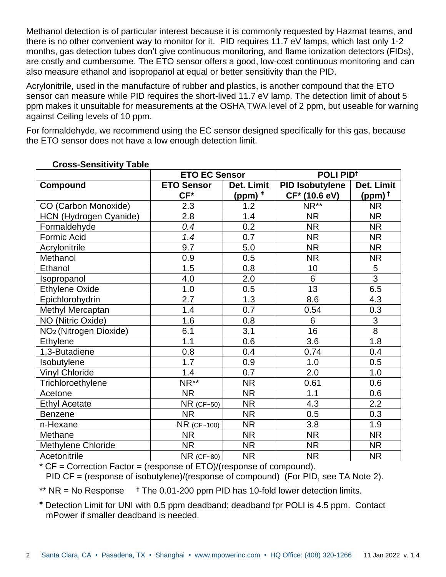Methanol detection is of particular interest because it is commonly requested by Hazmat teams, and there is no other convenient way to monitor for it. PID requires 11.7 eV lamps, which last only 1-2 months, gas detection tubes don't give continuous monitoring, and flame ionization detectors (FIDs), are costly and cumbersome. The ETO sensor offers a good, low-cost continuous monitoring and can also measure ethanol and isopropanol at equal or better sensitivity than the PID.

Acrylonitrile, used in the manufacture of rubber and plastics, is another compound that the ETO sensor can measure while PID requires the short-lived 11.7 eV lamp. The detection limit of about 5 ppm makes it unsuitable for measurements at the OSHA TWA level of 2 ppm, but useable for warning against Ceiling levels of 10 ppm.

For formaldehyde, we recommend using the EC sensor designed specifically for this gas, because the ETO sensor does not have a low enough detection limit.

| 2000 <b>OCHORITY</b> LADIO         | <b>ETO EC Sensor</b> |             | POLI PID <sup>t</sup>  |                    |
|------------------------------------|----------------------|-------------|------------------------|--------------------|
| Compound                           | <b>ETO Sensor</b>    | Det. Limit  | <b>PID Isobutylene</b> | Det. Limit         |
|                                    | $CF*$                | $(ppm)$ $*$ | CF* (10.6 eV)          | (ppm) <sup>+</sup> |
| CO (Carbon Monoxide)               | 2.3                  | 1.2         | NR <sup>**</sup>       | <b>NR</b>          |
| HCN (Hydrogen Cyanide)             | 2.8                  | 1.4         | <b>NR</b>              | <b>NR</b>          |
| Formaldehyde                       | 0.4                  | 0.2         | <b>NR</b>              | <b>NR</b>          |
| Formic Acid                        | 1.4                  | 0.7         | <b>NR</b>              | <b>NR</b>          |
| Acrylonitrile                      | 9.7                  | 5.0         | <b>NR</b>              | <b>NR</b>          |
| Methanol                           | 0.9                  | 0.5         | <b>NR</b>              | <b>NR</b>          |
| Ethanol                            | 1.5                  | 0.8         | 10                     | $\overline{5}$     |
| Isopropanol                        | 4.0                  | 2.0         | 6                      | $\overline{3}$     |
| <b>Ethylene Oxide</b>              | 1.0                  | 0.5         | 13                     | 6.5                |
| Epichlorohydrin                    | 2.7                  | 1.3         | 8.6                    | 4.3                |
| Methyl Mercaptan                   | 1.4                  | 0.7         | 0.54                   | 0.3                |
| NO (Nitric Oxide)                  | 1.6                  | 0.8         | $6\phantom{1}$         | $\overline{3}$     |
| NO <sub>2</sub> (Nitrogen Dioxide) | 6.1                  | 3.1         | 16                     | $\overline{8}$     |
| Ethylene                           | 1.1                  | 0.6         | 3.6                    | 1.8                |
| 1,3-Butadiene                      | 0.8                  | 0.4         | 0.74                   | 0.4                |
| Isobutylene                        | 1.7                  | 0.9         | 1.0                    | 0.5                |
| <b>Vinyl Chloride</b>              | 1.4                  | 0.7         | 2.0                    | 1.0                |
| Trichloroethylene                  | NR <sup>**</sup>     | <b>NR</b>   | 0.61                   | 0.6                |
| Acetone                            | <b>NR</b>            | <b>NR</b>   | 1.1                    | 0.6                |
| <b>Ethyl Acetate</b>               | $NR$ (CF~50)         | <b>NR</b>   | 4.3                    | 2.2                |
| <b>Benzene</b>                     | <b>NR</b>            | <b>NR</b>   | 0.5                    | 0.3                |
| n-Hexane                           | NR (CF~100)          | <b>NR</b>   | 3.8                    | 1.9                |
| Methane                            | <b>NR</b>            | <b>NR</b>   | <b>NR</b>              | <b>NR</b>          |
| Methylene Chloride                 | <b>NR</b>            | <b>NR</b>   | <b>NR</b>              | <b>NR</b>          |
| Acetonitrile                       | $NR$ (CF~80)         | <b>NR</b>   | <b>NR</b>              | <b>NR</b>          |

### **Cross-Sensitivity Table**

 $*$  CF = Correction Factor = (response of ETO)/(response of compound). PID CF = (response of isobutylene)/(response of compound) (For PID, see TA Note 2).

\*\* NR = No Response **†** The 0.01-200 ppm PID has 10-fold lower detection limits.

**<sup>ǂ</sup>** Detection Limit for UNI with 0.5 ppm deadband; deadband fpr POLI is 4.5 ppm. Contact mPower if smaller deadband is needed.